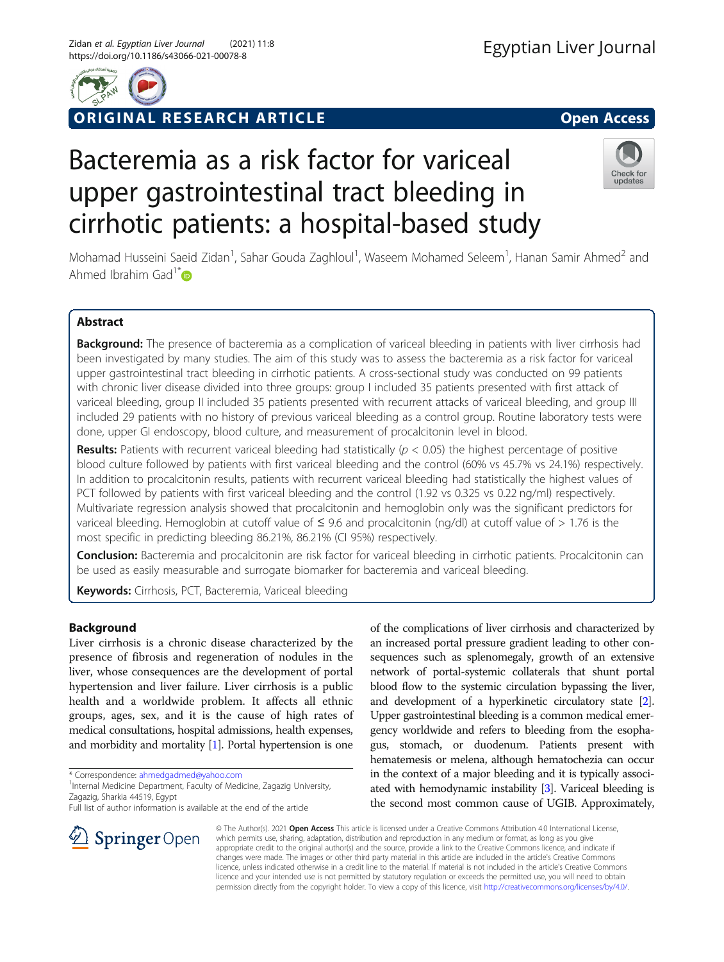

# ORIGINAL RESEARCH ARTICLE **External of the Second Access**

# Bacteremia as a risk factor for variceal upper gastrointestinal tract bleeding in cirrhotic patients: a hospital-based study



Mohamad Husseini Saeid Zidan<sup>1</sup>, Sahar Gouda Zaghloul<sup>1</sup>, Waseem Mohamed Seleem<sup>1</sup>, Hanan Samir Ahmed<sup>2</sup> and Ahmed Ibrahim Gad<sup>1[\\*](http://orcid.org/0000-0001-9818-0078)</sup> $\bullet$ 

# Abstract

Background: The presence of bacteremia as a complication of variceal bleeding in patients with liver cirrhosis had been investigated by many studies. The aim of this study was to assess the bacteremia as a risk factor for variceal upper gastrointestinal tract bleeding in cirrhotic patients. A cross-sectional study was conducted on 99 patients with chronic liver disease divided into three groups: group I included 35 patients presented with first attack of variceal bleeding, group II included 35 patients presented with recurrent attacks of variceal bleeding, and group III included 29 patients with no history of previous variceal bleeding as a control group. Routine laboratory tests were done, upper GI endoscopy, blood culture, and measurement of procalcitonin level in blood.

Results: Patients with recurrent variceal bleeding had statistically ( $p < 0.05$ ) the highest percentage of positive blood culture followed by patients with first variceal bleeding and the control (60% vs 45.7% vs 24.1%) respectively. In addition to procalcitonin results, patients with recurrent variceal bleeding had statistically the highest values of PCT followed by patients with first variceal bleeding and the control (1.92 vs 0.325 vs 0.22 ng/ml) respectively. Multivariate regression analysis showed that procalcitonin and hemoglobin only was the significant predictors for variceal bleeding. Hemoglobin at cutoff value of ≤ 9.6 and procalcitonin (ng/dl) at cutoff value of > 1.76 is the most specific in predicting bleeding 86.21%, 86.21% (CI 95%) respectively.

Conclusion: Bacteremia and procalcitonin are risk factor for variceal bleeding in cirrhotic patients. Procalcitonin can be used as easily measurable and surrogate biomarker for bacteremia and variceal bleeding.

Keywords: Cirrhosis, PCT, Bacteremia, Variceal bleeding

# Background

Liver cirrhosis is a chronic disease characterized by the presence of fibrosis and regeneration of nodules in the liver, whose consequences are the development of portal hypertension and liver failure. Liver cirrhosis is a public health and a worldwide problem. It affects all ethnic groups, ages, sex, and it is the cause of high rates of medical consultations, hospital admissions, health expenses, and morbidity and mortality [\[1](#page-6-0)]. Portal hypertension is one

\* Correspondence: [ahmedgadmed@yahoo.com](mailto:ahmedgadmed@yahoo.com) <sup>1</sup>

<sup>1</sup> Internal Medicine Department, Faculty of Medicine, Zagazig University, Zagazig, Sharkia 44519, Egypt

Full list of author information is available at the end of the article

of the complications of liver cirrhosis and characterized by an increased portal pressure gradient leading to other consequences such as splenomegaly, growth of an extensive network of portal-systemic collaterals that shunt portal blood flow to the systemic circulation bypassing the liver, and development of a hyperkinetic circulatory state [[2](#page-6-0)]. Upper gastrointestinal bleeding is a common medical emergency worldwide and refers to bleeding from the esophagus, stomach, or duodenum. Patients present with hematemesis or melena, although hematochezia can occur in the context of a major bleeding and it is typically associated with hemodynamic instability [\[3\]](#page-6-0). Variceal bleeding is the second most common cause of UGIB. Approximately,



© The Author(s). 2021 Open Access This article is licensed under a Creative Commons Attribution 4.0 International License, which permits use, sharing, adaptation, distribution and reproduction in any medium or format, as long as you give appropriate credit to the original author(s) and the source, provide a link to the Creative Commons licence, and indicate if changes were made. The images or other third party material in this article are included in the article's Creative Commons licence, unless indicated otherwise in a credit line to the material. If material is not included in the article's Creative Commons licence and your intended use is not permitted by statutory regulation or exceeds the permitted use, you will need to obtain permission directly from the copyright holder. To view a copy of this licence, visit <http://creativecommons.org/licenses/by/4.0/>.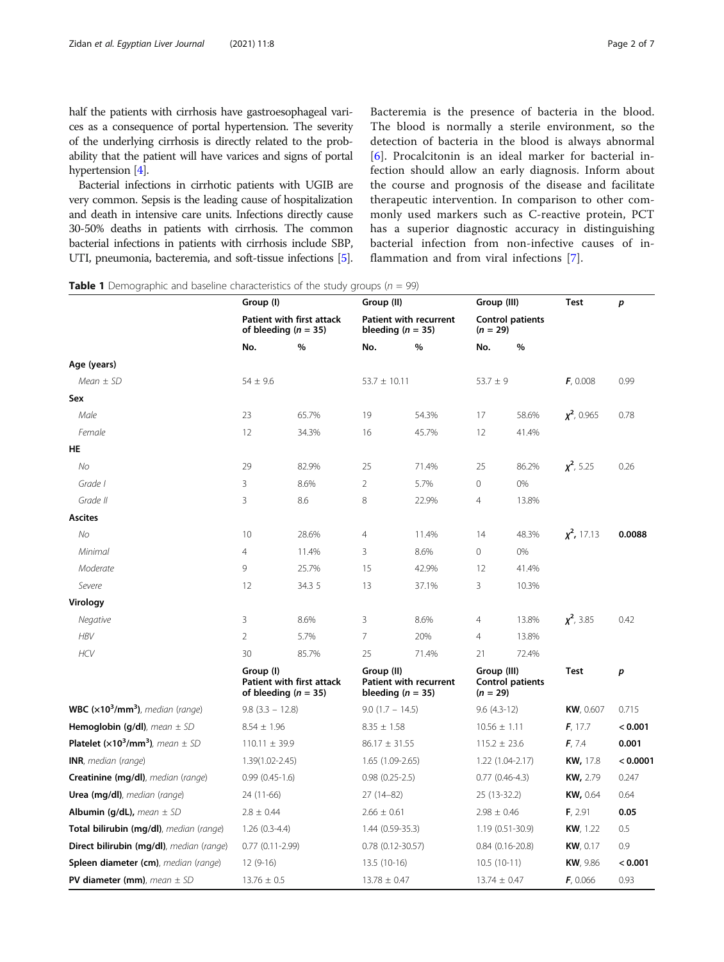<span id="page-1-0"></span>half the patients with cirrhosis have gastroesophageal varices as a consequence of portal hypertension. The severity of the underlying cirrhosis is directly related to the probability that the patient will have varices and signs of portal hypertension [\[4\]](#page-6-0).

Bacterial infections in cirrhotic patients with UGIB are very common. Sepsis is the leading cause of hospitalization and death in intensive care units. Infections directly cause 30-50% deaths in patients with cirrhosis. The common bacterial infections in patients with cirrhosis include SBP, UTI, pneumonia, bacteremia, and soft-tissue infections [[5](#page-6-0)]. Bacteremia is the presence of bacteria in the blood. The blood is normally a sterile environment, so the detection of bacteria in the blood is always abnormal [[6](#page-6-0)]. Procalcitonin is an ideal marker for bacterial infection should allow an early diagnosis. Inform about the course and prognosis of the disease and facilitate therapeutic intervention. In comparison to other commonly used markers such as C-reactive protein, PCT has a superior diagnostic accuracy in distinguishing bacterial infection from non-infective causes of inflammation and from viral infections [[7\]](#page-6-0).

**Table 1** Demographic and baseline characteristics of the study groups ( $n = 99$ )

|                                                                       | Group (I)          |                                                       |                         | Group (II)                                      |                           | Group (III)             | <b>Test</b>      | p        |
|-----------------------------------------------------------------------|--------------------|-------------------------------------------------------|-------------------------|-------------------------------------------------|---------------------------|-------------------------|------------------|----------|
|                                                                       |                    | Patient with first attack<br>of bleeding $(n = 35)$   |                         | Patient with recurrent<br>bleeding ( $n = 35$ ) | $(n = 29)$                | <b>Control patients</b> |                  |          |
|                                                                       | No.                | %                                                     | No.                     | %                                               | No.                       | %                       |                  |          |
| Age (years)                                                           |                    |                                                       |                         |                                                 |                           |                         |                  |          |
| $Mean \pm SD$                                                         | $54 \pm 9.6$       |                                                       | $53.7 \pm 10.11$        |                                                 | $53.7 \pm 9$              |                         | F, 0.008         | 0.99     |
| Sex                                                                   |                    |                                                       |                         |                                                 |                           |                         |                  |          |
| Male                                                                  | 23                 | 65.7%                                                 | 19                      | 54.3%                                           | 17                        | 58.6%                   | $\chi^2$ , 0.965 | 0.78     |
| Female                                                                | 12                 | 34.3%                                                 | 16                      | 45.7%                                           | 12                        | 41.4%                   |                  |          |
| HE                                                                    |                    |                                                       |                         |                                                 |                           |                         |                  |          |
| <b>No</b>                                                             | 29                 | 82.9%                                                 | 25                      | 71.4%                                           | 25                        | 86.2%                   | $x^2$ , 5.25     | 0.26     |
| Grade I                                                               | 3                  | 8.6%                                                  | $\overline{2}$          | 5.7%                                            | $\circ$                   | 0%                      |                  |          |
| Grade II                                                              | 3                  | 8.6                                                   | 8                       | 22.9%                                           | $\overline{4}$            | 13.8%                   |                  |          |
| <b>Ascites</b>                                                        |                    |                                                       |                         |                                                 |                           |                         |                  |          |
| No                                                                    | 10                 | 28.6%                                                 | $\overline{4}$          | 11.4%                                           | 14                        | 48.3%                   | $x^2$ , 17.13    | 0.0088   |
| Minimal                                                               | $\overline{4}$     | 11.4%                                                 | 3                       | 8.6%                                            | $\circ$                   | 0%                      |                  |          |
| Moderate                                                              | 9                  | 25.7%                                                 | 15                      | 42.9%                                           | 12                        | 41.4%                   |                  |          |
| Severe                                                                | 12                 | 34.3 5                                                | 13                      | 37.1%                                           | 3                         | 10.3%                   |                  |          |
| Virology                                                              |                    |                                                       |                         |                                                 |                           |                         |                  |          |
| Negative                                                              | 3                  | 8.6%                                                  | 3                       | 8.6%                                            | $\overline{4}$            | 13.8%                   | $x^2$ , 3.85     | 0.42     |
| <b>HBV</b>                                                            | $\overline{2}$     | 5.7%                                                  | $\overline{7}$          | 20%                                             | $\overline{4}$            | 13.8%                   |                  |          |
| <b>HCV</b>                                                            | 30                 | 85.7%                                                 | 25                      | 71.4%                                           | 21                        | 72.4%                   |                  |          |
|                                                                       | Group (I)          | Patient with first attack<br>of bleeding ( $n = 35$ ) | Group (II)              | Patient with recurrent<br>bleeding ( $n = 35$ ) | Group (III)<br>$(n = 29)$ | <b>Control patients</b> | <b>Test</b>      | p        |
| WBC $(x10^3/mm^3)$ , median (range)                                   | $9.8$ (3.3 - 12.8) |                                                       | $9.0$ (1.7 - 14.5)      |                                                 | $9.6(4.3-12)$             |                         | KW, 0.607        | 0.715    |
| <b>Hemoglobin (g/dl)</b> , mean $\pm$ SD                              | $8.54 \pm 1.96$    |                                                       | $8.35 \pm 1.58$         |                                                 | $10.56 \pm 1.11$          |                         | F, 17.7          | < 0.001  |
| Platelet ( $\times$ 10 <sup>3</sup> /mm <sup>3</sup> ), mean $\pm$ SD | $110.11 \pm 39.9$  |                                                       | $86.17 \pm 31.55$       |                                                 | $115.2 \pm 23.6$          |                         | F, 7.4           | 0.001    |
| INR, median (range)                                                   | 1.39(1.02-2.45)    |                                                       | 1.65 (1.09-2.65)        |                                                 |                           | 1.22 (1.04-2.17)        | KW, 17.8         | < 0.0001 |
| Creatinine (mg/dl), median (range)                                    | $0.99(0.45-1.6)$   |                                                       | $0.98(0.25-2.5)$        |                                                 |                           | $0.77(0.46-4.3)$        | <b>KW, 2.79</b>  | 0.247    |
| <b>Urea (mg/dl)</b> , median (range)                                  | 24 (11-66)         |                                                       | 27 (14-82)              |                                                 | 25 (13-32.2)              |                         | KW, 0.64         | 0.64     |
| <b>Albumin (g/dL),</b> mean $\pm$ SD                                  | $2.8 \pm 0.44$     |                                                       | $2.66 \pm 0.61$         |                                                 | $2.98 \pm 0.46$           |                         | F, 2.91          | 0.05     |
| Total bilirubin (mg/dl), median (range)                               | $1.26(0.3-4.4)$    |                                                       | 1.44 (0.59-35.3)        |                                                 | $1.19(0.51-30.9)$         |                         | KW, 1.22         | 0.5      |
| Direct bilirubin (mg/dl), median (range)                              | $0.77(0.11-2.99)$  |                                                       | $0.78$ $(0.12 - 30.57)$ |                                                 |                           | $0.84$ (0.16-20.8)      | KW, 0.17         | 0.9      |
| Spleen diameter (cm), median (range)                                  | $12(9-16)$         |                                                       | 13.5 (10-16)            |                                                 | $10.5(10-11)$             |                         | <b>KW</b> , 9.86 | < 0.001  |
| PV diameter (mm), $mean \pm SD$                                       | $13.76 \pm 0.5$    |                                                       | $13.78 \pm 0.47$        |                                                 | $13.74 \pm 0.47$          |                         | F, 0.066         | 0.93     |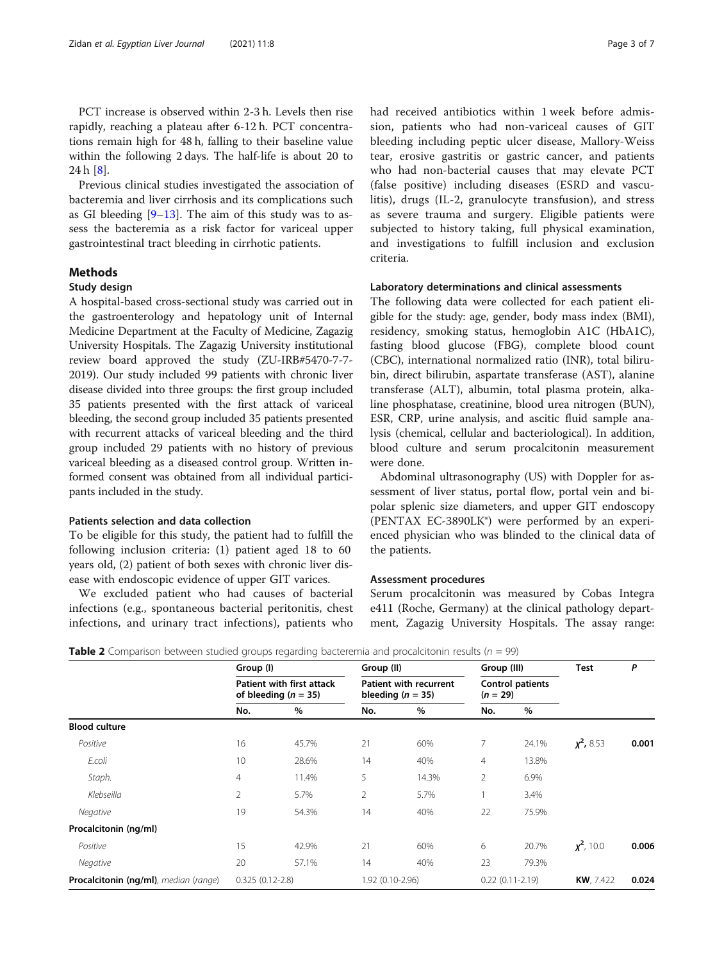<span id="page-2-0"></span>PCT increase is observed within 2-3 h. Levels then rise rapidly, reaching a plateau after 6-12 h. PCT concentrations remain high for 48 h, falling to their baseline value within the following 2 days. The half-life is about 20 to 24 h [[8\]](#page-6-0).

Previous clinical studies investigated the association of bacteremia and liver cirrhosis and its complications such as GI bleeding  $[9-13]$  $[9-13]$  $[9-13]$  $[9-13]$ . The aim of this study was to assess the bacteremia as a risk factor for variceal upper gastrointestinal tract bleeding in cirrhotic patients.

# Methods

### Study design

A hospital-based cross-sectional study was carried out in the gastroenterology and hepatology unit of Internal Medicine Department at the Faculty of Medicine, Zagazig University Hospitals. The Zagazig University institutional review board approved the study (ZU-IRB#5470-7-7- 2019). Our study included 99 patients with chronic liver disease divided into three groups: the first group included 35 patients presented with the first attack of variceal bleeding, the second group included 35 patients presented with recurrent attacks of variceal bleeding and the third group included 29 patients with no history of previous variceal bleeding as a diseased control group. Written informed consent was obtained from all individual participants included in the study.

# Patients selection and data collection

To be eligible for this study, the patient had to fulfill the following inclusion criteria: (1) patient aged 18 to 60 years old, (2) patient of both sexes with chronic liver disease with endoscopic evidence of upper GIT varices.

We excluded patient who had causes of bacterial infections (e.g., spontaneous bacterial peritonitis, chest infections, and urinary tract infections), patients who had received antibiotics within 1 week before admission, patients who had non-variceal causes of GIT bleeding including peptic ulcer disease, Mallory-Weiss tear, erosive gastritis or gastric cancer, and patients who had non-bacterial causes that may elevate PCT (false positive) including diseases (ESRD and vasculitis), drugs (IL-2, granulocyte transfusion), and stress as severe trauma and surgery. Eligible patients were subjected to history taking, full physical examination, and investigations to fulfill inclusion and exclusion criteria.

#### Laboratory determinations and clinical assessments

The following data were collected for each patient eligible for the study: age, gender, body mass index (BMI), residency, smoking status, hemoglobin A1C (HbA1C), fasting blood glucose (FBG), complete blood count (CBC), international normalized ratio (INR), total bilirubin, direct bilirubin, aspartate transferase (AST), alanine transferase (ALT), albumin, total plasma protein, alkaline phosphatase, creatinine, blood urea nitrogen (BUN), ESR, CRP, urine analysis, and ascitic fluid sample analysis (chemical, cellular and bacteriological). In addition, blood culture and serum procalcitonin measurement were done.

Abdominal ultrasonography (US) with Doppler for assessment of liver status, portal flow, portal vein and bipolar splenic size diameters, and upper GIT endoscopy (PENTAX EC-3890LK®) were performed by an experienced physician who was blinded to the clinical data of the patients.

#### Assessment procedures

Serum procalcitonin was measured by Cobas Integra e411 (Roche, Germany) at the clinical pathology department, Zagazig University Hospitals. The assay range:

|                                               | Group (I)<br>Patient with first attack<br>of bleeding ( $n = 35$ ) |       | Group (II)                                             |       | Group (III)                           |                   | Test              | Ρ     |
|-----------------------------------------------|--------------------------------------------------------------------|-------|--------------------------------------------------------|-------|---------------------------------------|-------------------|-------------------|-------|
|                                               |                                                                    |       | <b>Patient with recurrent</b><br>bleeding ( $n = 35$ ) |       | <b>Control patients</b><br>$(n = 29)$ |                   |                   |       |
|                                               | No.                                                                | $\%$  | No.                                                    | %     | No.                                   | $\%$              |                   |       |
| <b>Blood culture</b>                          |                                                                    |       |                                                        |       |                                       |                   |                   |       |
| Positive                                      | 16                                                                 | 45.7% | 21                                                     | 60%   | 7                                     | 24.1%             | $\chi^2$ , 8.53   | 0.001 |
| E.coli                                        | 10                                                                 | 28.6% | 14                                                     | 40%   | 4                                     | 13.8%             |                   |       |
| Staph.                                        | $\overline{4}$                                                     | 11.4% | 5                                                      | 14.3% | $\overline{2}$                        | 6.9%              |                   |       |
| Klebseilla                                    | $\overline{2}$                                                     | 5.7%  | $\overline{2}$                                         | 5.7%  |                                       | 3.4%              |                   |       |
| Negative                                      | 19                                                                 | 54.3% | 14                                                     | 40%   | 22                                    | 75.9%             |                   |       |
| Procalcitonin (ng/ml)                         |                                                                    |       |                                                        |       |                                       |                   |                   |       |
| Positive                                      | 15                                                                 | 42.9% | 21                                                     | 60%   | 6                                     | 20.7%             | $\chi^2$ , 10.0   | 0.006 |
| Negative                                      | 20                                                                 | 57.1% | 14                                                     | 40%   | 23                                    | 79.3%             |                   |       |
| <b>Procalcitonin (ng/ml)</b> , median (range) | $0.325(0.12-2.8)$                                                  |       | 1.92 (0.10-2.96)                                       |       |                                       | $0.22(0.11-2.19)$ | <b>KW</b> , 7.422 | 0.024 |

**Table 2** Comparison between studied groups regarding bacteremia and procalcitonin results ( $n = 99$ )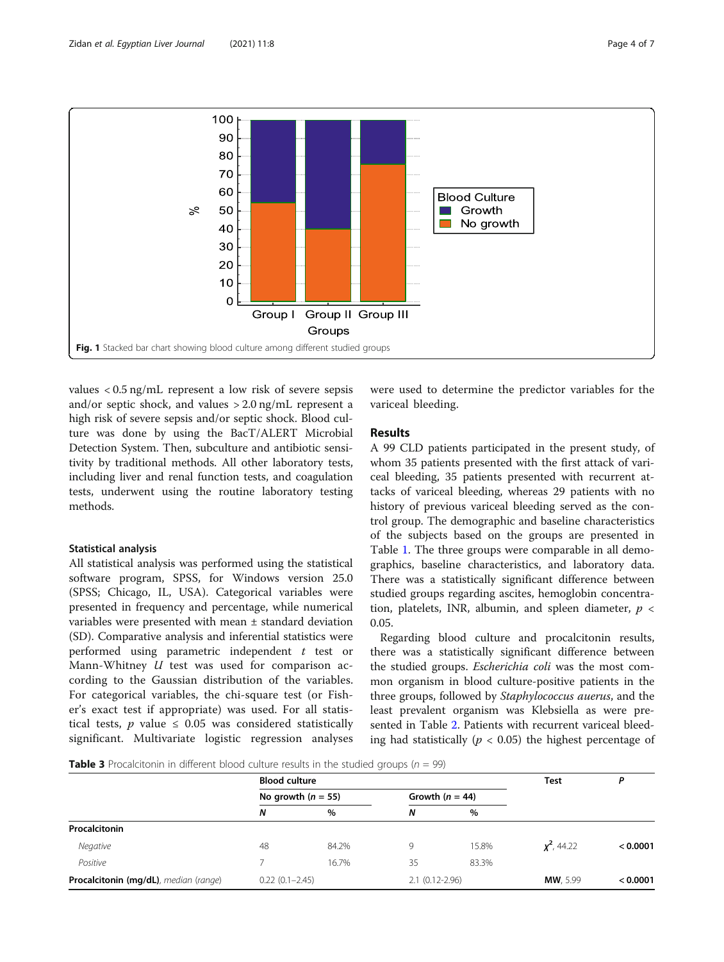<span id="page-3-0"></span>

values < 0.5 ng/mL represent a low risk of severe sepsis and/or septic shock, and values > 2.0 ng/mL represent a high risk of severe sepsis and/or septic shock. Blood culture was done by using the BacT/ALERT Microbial Detection System. Then, subculture and antibiotic sensitivity by traditional methods. All other laboratory tests, including liver and renal function tests, and coagulation tests, underwent using the routine laboratory testing methods.

# Statistical analysis

All statistical analysis was performed using the statistical software program, SPSS, for Windows version 25.0 (SPSS; Chicago, IL, USA). Categorical variables were presented in frequency and percentage, while numerical variables were presented with mean ± standard deviation (SD). Comparative analysis and inferential statistics were performed using parametric independent  $t$  test or Mann-Whitney  $U$  test was used for comparison according to the Gaussian distribution of the variables. For categorical variables, the chi-square test (or Fisher's exact test if appropriate) was used. For all statistical tests,  $p$  value  $\leq$  0.05 was considered statistically significant. Multivariate logistic regression analyses

were used to determine the predictor variables for the variceal bleeding.

# Results

A 99 CLD patients participated in the present study, of whom 35 patients presented with the first attack of variceal bleeding, 35 patients presented with recurrent attacks of variceal bleeding, whereas 29 patients with no history of previous variceal bleeding served as the control group. The demographic and baseline characteristics of the subjects based on the groups are presented in Table [1.](#page-1-0) The three groups were comparable in all demographics, baseline characteristics, and laboratory data. There was a statistically significant difference between studied groups regarding ascites, hemoglobin concentration, platelets, INR, albumin, and spleen diameter,  $p <$ 0.05.

Regarding blood culture and procalcitonin results, there was a statistically significant difference between the studied groups. Escherichia coli was the most common organism in blood culture-positive patients in the three groups, followed by Staphylococcus auerus, and the least prevalent organism was Klebsiella as were presented in Table [2](#page-2-0). Patients with recurrent variceal bleeding had statistically ( $p < 0.05$ ) the highest percentage of

**Table 3** Procalcitonin in different blood culture results in the studied groups ( $n = 99$ )

|                                       | <b>Blood culture</b> |                    | <b>Test</b>       | D                  |                 |          |
|---------------------------------------|----------------------|--------------------|-------------------|--------------------|-----------------|----------|
|                                       | No growth $(n = 55)$ |                    | Growth $(n = 44)$ |                    |                 |          |
|                                       | N                    | $\%$               | N                 | $\%$               |                 |          |
| Procalcitonin                         |                      |                    |                   |                    |                 |          |
| Negative                              | 48                   | 84.2%              | 9                 | 15.8%              | $x^2$ , 44.22   | < 0.0001 |
| Positive                              |                      | 16.7%              | 35                | 83.3%              |                 |          |
| Procalcitonin (mg/dL), median (range) |                      | $0.22(0.1 - 2.45)$ |                   | $2.1(0.12 - 2.96)$ | <b>MW.</b> 5.99 | < 0.0001 |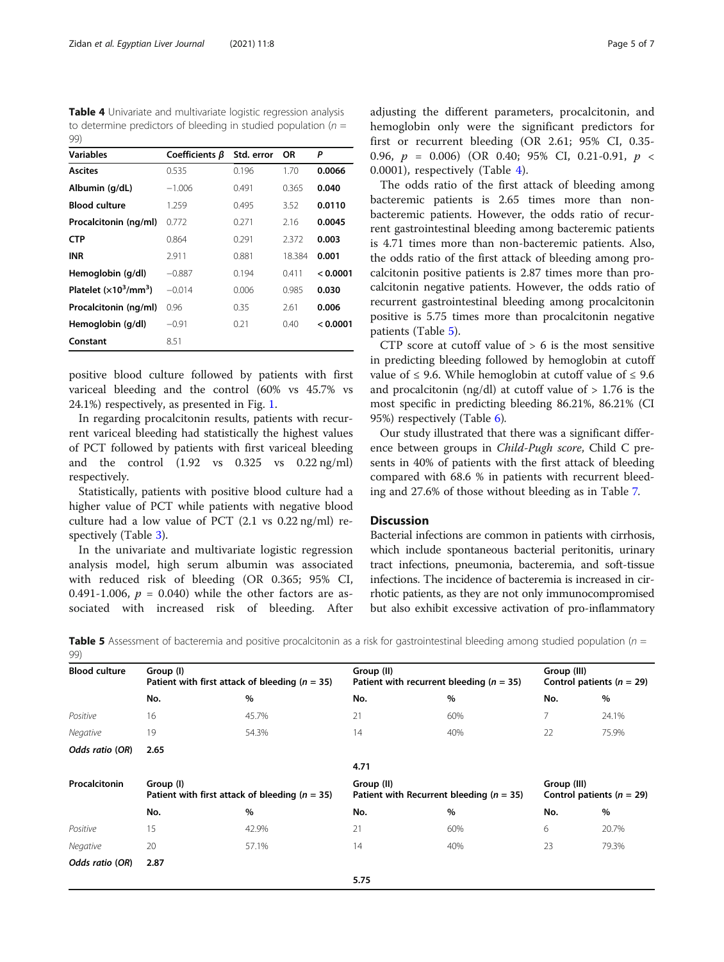Table 4 Univariate and multivariate logistic regression analysis to determine predictors of bleeding in studied population ( $n =$ 99)

| <b>Variables</b>        | Coefficients $\beta$ | Std. error | <b>OR</b> | Ρ        |
|-------------------------|----------------------|------------|-----------|----------|
| <b>Ascites</b>          | 0.535                | 0.196      | 1.70      | 0.0066   |
| Albumin (g/dL)          | $-1.006$             | 0.491      | 0.365     | 0.040    |
| <b>Blood culture</b>    | 1.259                | 0.495      | 3.52      | 0.0110   |
| Procalcitonin (ng/ml)   | 0.772                | 0.271      | 2.16      | 0.0045   |
| <b>CTP</b>              | 0.864                | 0.291      | 2.372     | 0.003    |
| <b>INR</b>              | 2.911                | 0.881      | 18.384    | 0.001    |
| Hemoglobin (g/dl)       | $-0.887$             | 0.194      | 0.411     | < 0.0001 |
| Platelet $(x10^3/mm^3)$ | $-0.014$             | 0.006      | 0.985     | 0.030    |
| Procalcitonin (ng/ml)   | 0.96                 | 0.35       | 2.61      | 0.006    |
| Hemoglobin (g/dl)       | $-0.91$              | 0.21       | 0.40      | < 0.0001 |
| Constant                | 8.51                 |            |           |          |

positive blood culture followed by patients with first variceal bleeding and the control (60% vs 45.7% vs 24.1%) respectively, as presented in Fig. [1](#page-3-0).

In regarding procalcitonin results, patients with recurrent variceal bleeding had statistically the highest values of PCT followed by patients with first variceal bleeding and the control (1.92 vs 0.325 vs 0.22 ng/ml) respectively.

Statistically, patients with positive blood culture had a higher value of PCT while patients with negative blood culture had a low value of PCT (2.1 vs 0.22 ng/ml) respectively (Table [3](#page-3-0)).

In the univariate and multivariate logistic regression analysis model, high serum albumin was associated with reduced risk of bleeding (OR 0.365; 95% CI, 0.491-1.006,  $p = 0.040$ ) while the other factors are associated with increased risk of bleeding. After

adjusting the different parameters, procalcitonin, and hemoglobin only were the significant predictors for first or recurrent bleeding (OR 2.61; 95% CI, 0.35- 0.96,  $p = 0.006$  (OR 0.40; 95% CI, 0.21-0.91,  $p \leq$ 0.0001), respectively (Table 4).

The odds ratio of the first attack of bleeding among bacteremic patients is 2.65 times more than nonbacteremic patients. However, the odds ratio of recurrent gastrointestinal bleeding among bacteremic patients is 4.71 times more than non-bacteremic patients. Also, the odds ratio of the first attack of bleeding among procalcitonin positive patients is 2.87 times more than procalcitonin negative patients. However, the odds ratio of recurrent gastrointestinal bleeding among procalcitonin positive is 5.75 times more than procalcitonin negative patients (Table 5).

CTP score at cutoff value of  $> 6$  is the most sensitive in predicting bleeding followed by hemoglobin at cutoff value of ≤ 9.6. While hemoglobin at cutoff value of ≤ 9.6 and procalcitonin (ng/dl) at cutoff value of  $> 1.76$  is the most specific in predicting bleeding 86.21%, 86.21% (CI 95%) respectively (Table [6\)](#page-5-0).

Our study illustrated that there was a significant difference between groups in Child-Pugh score, Child C presents in 40% of patients with the first attack of bleeding compared with 68.6 % in patients with recurrent bleeding and 27.6% of those without bleeding as in Table [7](#page-5-0).

# **Discussion**

Bacterial infections are common in patients with cirrhosis, which include spontaneous bacterial peritonitis, urinary tract infections, pneumonia, bacteremia, and soft-tissue infections. The incidence of bacteremia is increased in cirrhotic patients, as they are not only immunocompromised but also exhibit excessive activation of pro-inflammatory

**Table 5** Assessment of bacteremia and positive procalcitonin as a risk for gastrointestinal bleeding among studied population ( $n =$ 99)

| <b>Blood culture</b> | Group (I) | Patient with first attack of bleeding ( $n = 35$ ) | Group (II) | Patient with recurrent bleeding ( $n = 35$ ) | Group (III)<br>Control patients ( $n = 29$ ) |                               |  |
|----------------------|-----------|----------------------------------------------------|------------|----------------------------------------------|----------------------------------------------|-------------------------------|--|
|                      | No.       | $\%$                                               | No.        | $\%$                                         | No.                                          | %                             |  |
| Positive             | 16        | 45.7%                                              | 21         | 60%                                          | 7                                            | 24.1%                         |  |
| Negative             | 19        | 54.3%                                              | 14         | 40%                                          | 22                                           | 75.9%                         |  |
| Odds ratio (OR)      | 2.65      |                                                    |            |                                              |                                              |                               |  |
|                      |           |                                                    | 4.71       |                                              |                                              |                               |  |
| Procalcitonin        | Group (I) | Patient with first attack of bleeding ( $n = 35$ ) | Group (II) | Patient with Recurrent bleeding ( $n = 35$ ) | Group (III)                                  | Control patients ( $n = 29$ ) |  |
|                      | No.       | $\%$                                               | No.        | $\%$                                         | No.                                          | %                             |  |
| Positive             | 15        | 42.9%                                              | 21         | 60%                                          | 6                                            | 20.7%                         |  |
| Negative             | 20        | 57.1%                                              | 14         | 40%                                          | 23                                           | 79.3%                         |  |
| Odds ratio (OR)      | 2.87      |                                                    |            |                                              |                                              |                               |  |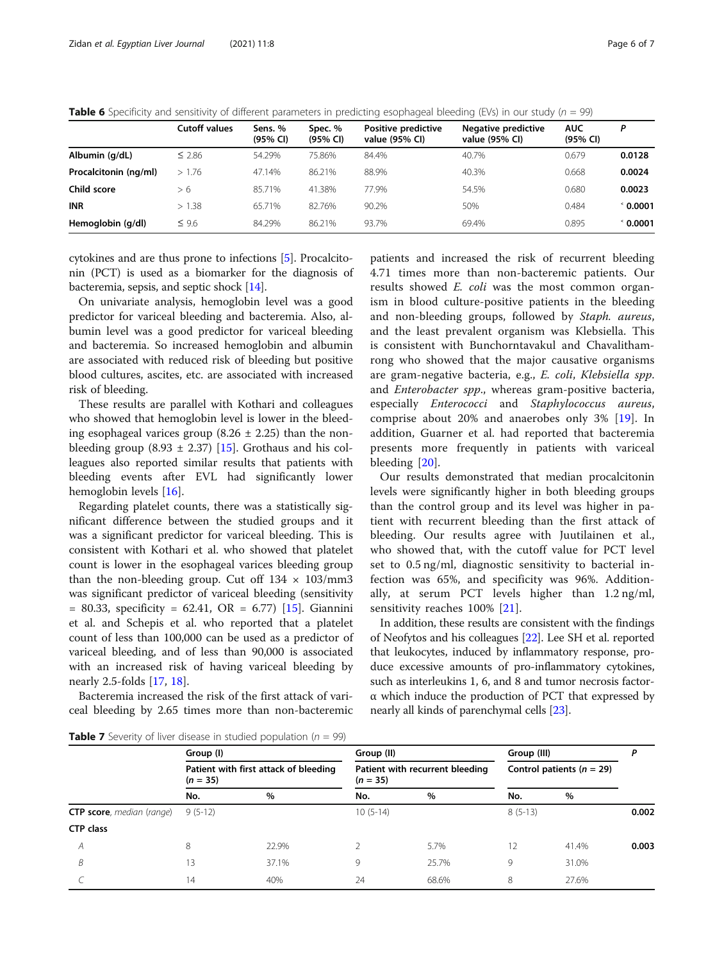<span id="page-5-0"></span>**Table 6** Specificity and sensitivity of different parameters in predicting esophageal bleeding (EVs) in our study ( $n = 99$ )

|                       | <b>Cutoff values</b> | Sens. %<br>(95% CI) | Spec. %<br>(95% CI) | Positive predictive<br>value (95% CI) | <b>Negative predictive</b><br>value (95% CI) | <b>AUC</b><br>(95% CI) | D                 |
|-----------------------|----------------------|---------------------|---------------------|---------------------------------------|----------------------------------------------|------------------------|-------------------|
| Albumin (g/dL)        | $\leq 2.86$          | 54.29%              | 75.86%              | 84.4%                                 | 40.7%                                        | 0.679                  | 0.0128            |
| Procalcitonin (ng/ml) | >1.76                | 47.14%              | 86.21%              | 88.9%                                 | 40.3%                                        | 0.668                  | 0.0024            |
| Child score           | > 6                  | 85.71%              | 41.38%              | 77.9%                                 | 54.5%                                        | 0.680                  | 0.0023            |
| <b>INR</b>            | >1.38                | 65.71%              | 82.76%              | 90.2%                                 | 50%                                          | 0.484                  | $^{\circ}$ 0.0001 |
| Hemoglobin (g/dl)     | $\leq 9.6$           | 84.29%              | 86.21%              | 93.7%                                 | 69.4%                                        | 0.895                  | $^{\circ}$ 0.0001 |

cytokines and are thus prone to infections [[5\]](#page-6-0). Procalcitonin (PCT) is used as a biomarker for the diagnosis of bacteremia, sepsis, and septic shock [[14](#page-6-0)].

On univariate analysis, hemoglobin level was a good predictor for variceal bleeding and bacteremia. Also, albumin level was a good predictor for variceal bleeding and bacteremia. So increased hemoglobin and albumin are associated with reduced risk of bleeding but positive blood cultures, ascites, etc. are associated with increased risk of bleeding.

These results are parallel with Kothari and colleagues who showed that hemoglobin level is lower in the bleeding esophageal varices group  $(8.26 \pm 2.25)$  than the nonbleeding group  $(8.93 \pm 2.37)$  [\[15](#page-6-0)]. Grothaus and his colleagues also reported similar results that patients with bleeding events after EVL had significantly lower hemoglobin levels [\[16](#page-6-0)].

Regarding platelet counts, there was a statistically significant difference between the studied groups and it was a significant predictor for variceal bleeding. This is consistent with Kothari et al. who showed that platelet count is lower in the esophageal varices bleeding group than the non-bleeding group. Cut off  $134 \times 103 \text{/mm3}$ was significant predictor of variceal bleeding (sensitivity  $= 80.33$ , specificity  $= 62.41$ , OR  $= 6.77$ ) [\[15](#page-6-0)]. Giannini et al. and Schepis et al. who reported that a platelet count of less than 100,000 can be used as a predictor of variceal bleeding, and of less than 90,000 is associated with an increased risk of having variceal bleeding by nearly 2.5-folds [[17](#page-6-0), [18](#page-6-0)].

Bacteremia increased the risk of the first attack of variceal bleeding by 2.65 times more than non-bacteremic

patients and increased the risk of recurrent bleeding 4.71 times more than non-bacteremic patients. Our results showed E. coli was the most common organism in blood culture-positive patients in the bleeding and non-bleeding groups, followed by Staph. aureus, and the least prevalent organism was Klebsiella. This is consistent with Bunchorntavakul and Chavalithamrong who showed that the major causative organisms are gram-negative bacteria, e.g., E. coli, Klebsiella spp. and Enterobacter spp., whereas gram-positive bacteria, especially Enterococci and Staphylococcus aureus, comprise about 20% and anaerobes only 3% [\[19](#page-6-0)]. In addition, Guarner et al. had reported that bacteremia presents more frequently in patients with variceal bleeding [[20\]](#page-6-0).

Our results demonstrated that median procalcitonin levels were significantly higher in both bleeding groups than the control group and its level was higher in patient with recurrent bleeding than the first attack of bleeding. Our results agree with Juutilainen et al., who showed that, with the cutoff value for PCT level set to 0.5 ng/ml, diagnostic sensitivity to bacterial infection was 65%, and specificity was 96%. Additionally, at serum PCT levels higher than 1.2 ng/ml, sensitivity reaches 100% [[21\]](#page-6-0).

In addition, these results are consistent with the findings of Neofytos and his colleagues [\[22](#page-6-0)]. Lee SH et al. reported that leukocytes, induced by inflammatory response, produce excessive amounts of pro-inflammatory cytokines, such as interleukins 1, 6, and 8 and tumor necrosis factorα which induce the production of PCT that expressed by nearly all kinds of parenchymal cells [\[23\]](#page-6-0).

**Table 7** Severity of liver disease in studied population ( $n = 99$ )

|                                   | Group (I)<br>Patient with first attack of bleeding<br>$(n = 35)$ |       | Group (II)<br>Patient with recurrent bleeding<br>$(n = 35)$ |       | Group (III)<br>Control patients ( $n = 29$ ) |       |       |
|-----------------------------------|------------------------------------------------------------------|-------|-------------------------------------------------------------|-------|----------------------------------------------|-------|-------|
|                                   |                                                                  |       |                                                             |       |                                              |       |       |
|                                   | No.                                                              | $\%$  | No.                                                         | $\%$  | No.                                          | $\%$  |       |
| <b>CTP score</b> , median (range) | $9(5-12)$                                                        |       | $10(5-14)$                                                  |       | $8(5-13)$                                    |       | 0.002 |
| <b>CTP class</b>                  |                                                                  |       |                                                             |       |                                              |       |       |
| A                                 | 8                                                                | 22.9% |                                                             | 5.7%  | 12                                           | 41.4% | 0.003 |
| B                                 | 13                                                               | 37.1% | 9                                                           | 25.7% | 9                                            | 31.0% |       |
|                                   | 14                                                               | 40%   | 24                                                          | 68.6% | 8                                            | 27.6% |       |